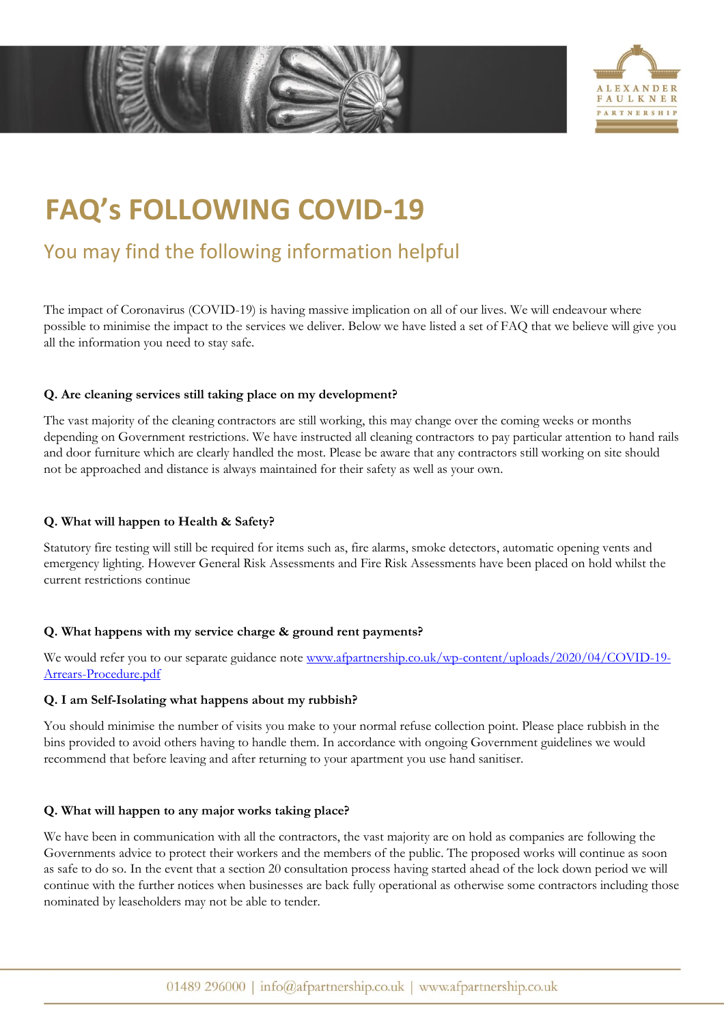

# **FAQ's FOLLOWING COVID-19**

# You may find the following information helpful

The impact of Coronavirus (COVID-19) is having massive implication on all of our lives. We will endeavour where possible to minimise the impact to the services we deliver. Below we have listed a set of FAQ that we believe will give you all the information you need to stay safe.

# **Q. Are cleaning services still taking place on my development?**

The vast majority of the cleaning contractors are still working, this may change over the coming weeks or months depending on Government restrictions. We have instructed all cleaning contractors to pay particular attention to hand rails and door furniture which are clearly handled the most. Please be aware that any contractors still working on site should not be approached and distance is always maintained for their safety as well as your own.

# **Q. What will happen to Health & Safety?**

Statutory fire testing will still be required for items such as, fire alarms, smoke detectors, automatic opening vents and emergency lighting. However General Risk Assessments and Fire Risk Assessments have been placed on hold whilst the current restrictions continue

# **Q. What happens with my service charge & ground rent payments?**

We would refer you to our separate guidance note [www.afpartnership.co.uk/wp-content/uploads/2020/04/COVID-19-](http://www.afpartnership.co.uk/wp-content/uploads/2020/04/COVID-19-Arrears-Procedure.pdf) [Arrears-Procedure.pdf](http://www.afpartnership.co.uk/wp-content/uploads/2020/04/COVID-19-Arrears-Procedure.pdf)

### **Q. I am Self-Isolating what happens about my rubbish?**

You should minimise the number of visits you make to your normal refuse collection point. Please place rubbish in the bins provided to avoid others having to handle them. In accordance with ongoing Government guidelines we would recommend that before leaving and after returning to your apartment you use hand sanitiser.

### **Q. What will happen to any major works taking place?**

We have been in communication with all the contractors, the vast majority are on hold as companies are following the Governments advice to protect their workers and the members of the public. The proposed works will continue as soon as safe to do so. In the event that a section 20 consultation process having started ahead of the lock down period we will continue with the further notices when businesses are back fully operational as otherwise some contractors including those nominated by leaseholders may not be able to tender.